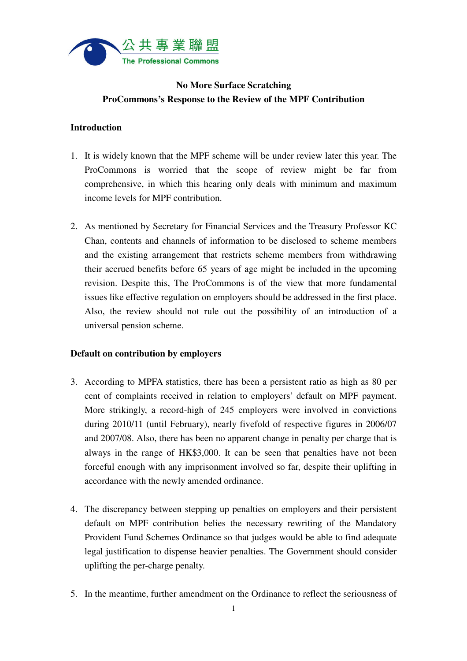

# **No More Surface Scratching ProCommons's Response to the Review of the MPF Contribution**

## **Introduction**

- 1. It is widely known that the MPF scheme will be under review later this year. The ProCommons is worried that the scope of review might be far from comprehensive, in which this hearing only deals with minimum and maximum income levels for MPF contribution.
- 2. As mentioned by Secretary for Financial Services and the Treasury Professor KC Chan, contents and channels of information to be disclosed to scheme members and the existing arrangement that restricts scheme members from withdrawing their accrued benefits before 65 years of age might be included in the upcoming revision. Despite this, The ProCommons is of the view that more fundamental issues like effective regulation on employers should be addressed in the first place. Also, the review should not rule out the possibility of an introduction of a universal pension scheme.

#### **Default on contribution by employers**

- 3. According to MPFA statistics, there has been a persistent ratio as high as 80 per cent of complaints received in relation to employers' default on MPF payment. More strikingly, a record-high of 245 employers were involved in convictions during 2010/11 (until February), nearly fivefold of respective figures in 2006/07 and 2007/08. Also, there has been no apparent change in penalty per charge that is always in the range of HK\$3,000. It can be seen that penalties have not been forceful enough with any imprisonment involved so far, despite their uplifting in accordance with the newly amended ordinance.
- 4. The discrepancy between stepping up penalties on employers and their persistent default on MPF contribution belies the necessary rewriting of the Mandatory Provident Fund Schemes Ordinance so that judges would be able to find adequate legal justification to dispense heavier penalties. The Government should consider uplifting the per-charge penalty.
- 5. In the meantime, further amendment on the Ordinance to reflect the seriousness of